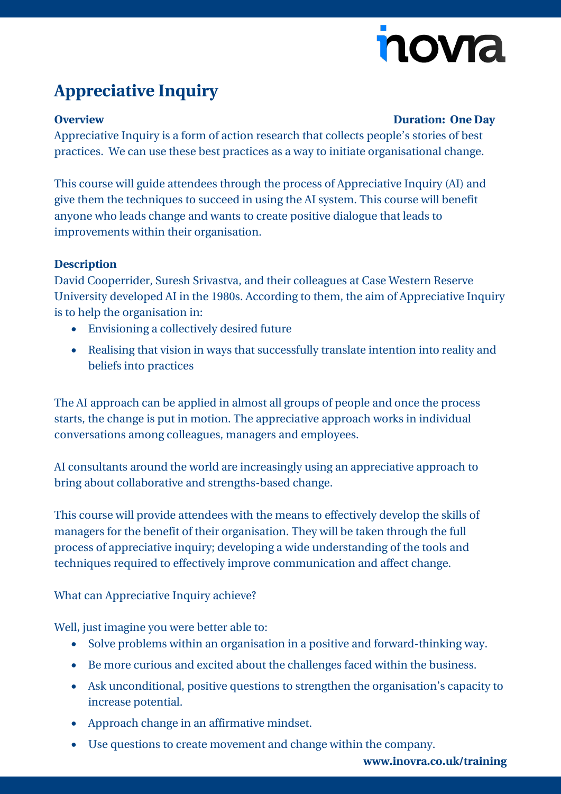# nova

## **Appreciative Inquiry**

#### **Overview Duration: One Day**

Appreciative Inquiry is a form of action research that collects people's stories of best practices. We can use these best practices as a way to initiate organisational change.

This course will guide attendees through the process of Appreciative Inquiry (AI) and give them the techniques to succeed in using the AI system. This course will benefit anyone who leads change and wants to create positive dialogue that leads to improvements within their organisation.

### **Description**

David Cooperrider, Suresh Srivastva, and their colleagues at Case Western Reserve University developed AI in the 1980s. According to them, the aim of Appreciative Inquiry is to help the organisation in:

- Envisioning a collectively desired future
- Realising that vision in ways that successfully translate intention into reality and beliefs into practices

The AI approach can be applied in almost all groups of people and once the process starts, the change is put in motion. The appreciative approach works in individual conversations among colleagues, managers and employees.

AI consultants around the world are increasingly using an appreciative approach to bring about collaborative and strengths-based change.

This course will provide attendees with the means to effectively develop the skills of managers for the benefit of their organisation. They will be taken through the full process of appreciative inquiry; developing a wide understanding of the tools and techniques required to effectively improve communication and affect change.

What can Appreciative Inquiry achieve?

Well, just imagine you were better able to:

- Solve problems within an organisation in a positive and forward-thinking way.
- Be more curious and excited about the challenges faced within the business.
- Ask unconditional, positive questions to strengthen the organisation's capacity to increase potential.
- Approach change in an affirmative mindset.
- Use questions to create movement and change within the company.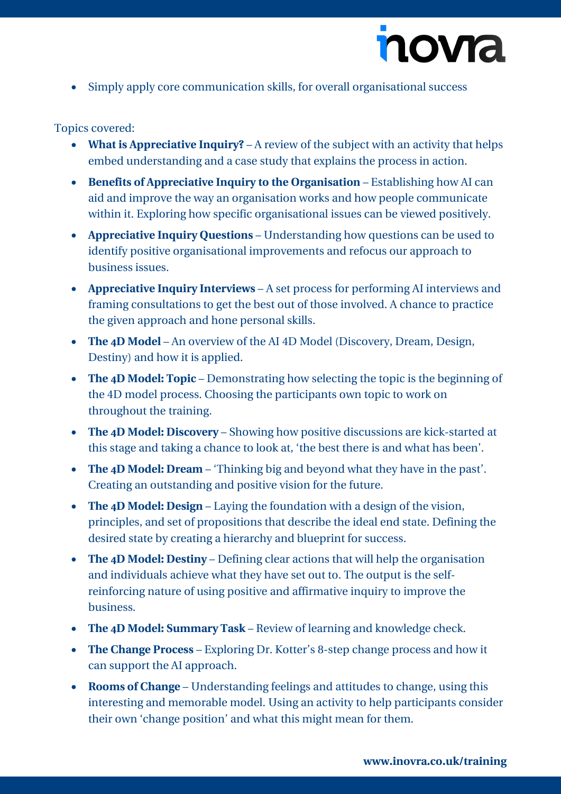

• Simply apply core communication skills, for overall organisational success

#### Topics covered:

- **What is Appreciative Inquiry?** A review of the subject with an activity that helps embed understanding and a case study that explains the process in action.
- **Benefits of Appreciative Inquiry to the Organisation** Establishing how AI can aid and improve the way an organisation works and how people communicate within it. Exploring how specific organisational issues can be viewed positively.
- **Appreciative Inquiry Questions** Understanding how questions can be used to identify positive organisational improvements and refocus our approach to business issues.
- **Appreciative Inquiry Interviews** A set process for performing AI interviews and framing consultations to get the best out of those involved. A chance to practice the given approach and hone personal skills.
- **The 4D Model** An overview of the AI 4D Model (Discovery, Dream, Design, Destiny) and how it is applied.
- **The 4D Model: Topic** Demonstrating how selecting the topic is the beginning of the 4D model process. Choosing the participants own topic to work on throughout the training.
- **The 4D Model: Discovery** Showing how positive discussions are kick-started at this stage and taking a chance to look at, 'the best there is and what has been'.
- **The 4D Model: Dream** 'Thinking big and beyond what they have in the past'. Creating an outstanding and positive vision for the future.
- **The 4D Model: Design** Laying the foundation with a design of the vision, principles, and set of propositions that describe the ideal end state. Defining the desired state by creating a hierarchy and blueprint for success.
- **The 4D Model: Destiny** Defining clear actions that will help the organisation and individuals achieve what they have set out to. The output is the selfreinforcing nature of using positive and affirmative inquiry to improve the business.
- **The 4D Model: Summary Task** Review of learning and knowledge check.
- **The Change Process** Exploring Dr. Kotter's 8-step change process and how it can support the AI approach.
- **Rooms of Change** Understanding feelings and attitudes to change, using this interesting and memorable model. Using an activity to help participants consider their own 'change position' and what this might mean for them.